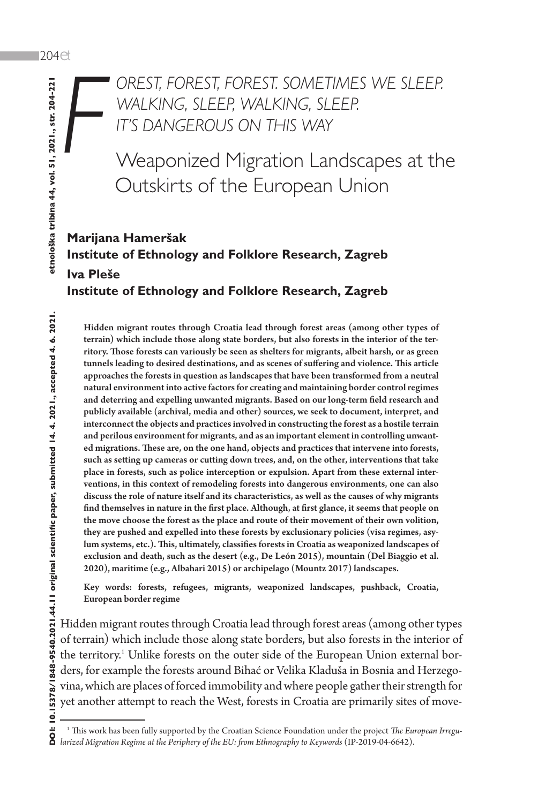*F*

*OREST, FOREST, FOREST. SOMETIMES WE SLEEP. WALKING, SLEEP, WALKING, SLEEP. IT'S DANGEROUS ON THIS WAY*

Weaponized Migration Landscapes at the Outskirts of the European Union

# **Marijana Hameršak Institute of Ethnology and Folklore Research, Zagreb Iva Pleše Institute of Ethnology and Folklore Research, Zagreb**

Hidden migrant routes through Croatia lead through forest areas (among other types of terrain) which include those along state borders, but also forests in the interior of the territory. Those forests can variously be seen as shelters for migrants, albeit harsh, or as green tunnels leading to desired destinations, and as scenes of suffering and violence. This article approaches the forests in question as landscapes that have been transformed from a neutral natural environment into active factors for creating and maintaining border control regimes and deterring and expelling unwanted migrants. Based on our long-term field research and publicly available (archival, media and other) sources, we seek to document, interpret, and interconnect the objects and practices involved in constructing the forest as a hostile terrain and perilous environment for migrants, and as an important element in controlling unwanted migrations. These are, on the one hand, objects and practices that intervene into forests, such as setting up cameras or cutting down trees, and, on the other, interventions that take place in forests, such as police interception or expulsion. Apart from these external interventions, in this context of remodeling forests into dangerous environments, one can also discuss the role of nature itself and its characteristics, as well as the causes of why migrants find themselves in nature in the first place. Although, at first glance, it seems that people on the move choose the forest as the place and route of their movement of their own volition, they are pushed and expelled into these forests by exclusionary policies (visa regimes, asylum systems, etc.). This, ultimately, classifies forests in Croatia as weaponized landscapes of exclusion and death, such as the desert (e.g., De León 2015), mountain (Del Biaggio et al. 2020), maritime (e.g., Albahari 2015) or archipelago (Mountz 2017) landscapes.

Key words: forests, refugees, migrants, weaponized landscapes, pushback, Croatia, European border regime

Hidden migrant routes through Croatia lead through forest areas (among other types of terrain) which include those along state borders, but also forests in the interior of the territory.<sup>1</sup> Unlike forests on the outer side of the European Union external borders, for example the forests around Bihać or Velika Kladuša in Bosnia and Herzegovina, which are places of forced immobility and where people gather their strength for yet another attempt to reach the West, forests in Croatia are primarily sites of move-

<sup>1</sup> <sup>1</sup> This work has been fully supported by the Croatian Science Foundation under the project *The European Irregularized Migration Regime at the Periphery of the EU: from Ethnography to Keywords* (IP-2019-04-6642).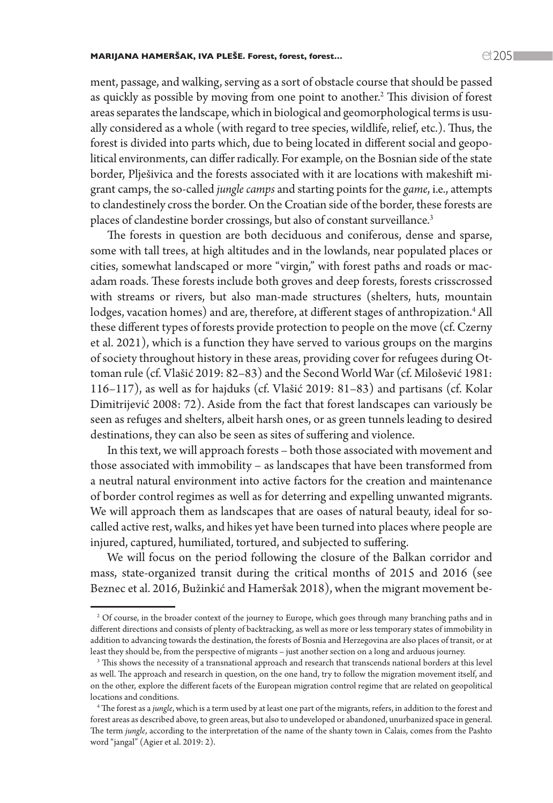#### MARIJANA HAMERŠAK, IVA PLEŠE. Forest, forest, forest…  $C(705$

ment, passage, and walking, serving as a sort of obstacle course that should be passed as quickly as possible by moving from one point to another.<sup>2</sup> This division of forest areas separates the landscape, which in biological and geomorphological terms is usually considered as a whole (with regard to tree species, wildlife, relief, etc.). Thus, the forest is divided into parts which, due to being located in different social and geopolitical environments, can differ radically. For example, on the Bosnian side of the state border, Plješivica and the forests associated with it are locations with makeshift migrant camps, the so-called *jungle camps* and starting points for the *game*, i.e., attempts to clandestinely cross the border. On the Croatian side of the border, these forests are places of clandestine border crossings, but also of constant surveillance.<sup>3</sup>

The forests in question are both deciduous and coniferous, dense and sparse, some with tall trees, at high altitudes and in the lowlands, near populated places or cities, somewhat landscaped or more "virgin," with forest paths and roads or macadam roads. These forests include both groves and deep forests, forests crisscrossed with streams or rivers, but also man-made structures (shelters, huts, mountain lodges, vacation homes) and are, therefore, at different stages of anthropization.<sup>4</sup> All these different types of forests provide protection to people on the move (cf. Czerny et al. 2021), which is a function they have served to various groups on the margins of society throughout history in these areas, providing cover for refugees during Ottoman rule (cf. Vlašić 2019: 82–83) and the Second World War (cf. Milošević 1981: 116–117), as well as for hajduks (cf. Vlašić 2019: 81–83) and partisans (cf. Kolar Dimitrijević 2008: 72). Aside from the fact that forest landscapes can variously be seen as refuges and shelters, albeit harsh ones, or as green tunnels leading to desired destinations, they can also be seen as sites of suffering and violence.

In this text, we will approach forests – both those associated with movement and those associated with immobility – as landscapes that have been transformed from a neutral natural environment into active factors for the creation and maintenance of border control regimes as well as for deterring and expelling unwanted migrants. We will approach them as landscapes that are oases of natural beauty, ideal for socalled active rest, walks, and hikes yet have been turned into places where people are injured, captured, humiliated, tortured, and subjected to suffering.

We will focus on the period following the closure of the Balkan corridor and mass, state-organized transit during the critical months of 2015 and 2016 (see Beznec et al. 2016, Bužinkić and Hameršak 2018), when the migrant movement be-

<sup>2</sup> Of course, in the broader context of the journey to Europe, which goes through many branching paths and in different directions and consists of plenty of backtracking, as well as more or less temporary states of immobility in addition to advancing towards the destination, the forests of Bosnia and Herzegovina are also places of transit, or at least they should be, from the perspective of migrants – just another section on a long and arduous journey.

<sup>3</sup> This shows the necessity of a transnational approach and research that transcends national borders at this level as well. The approach and research in question, on the one hand, try to follow the migration movement itself, and on the other, explore the different facets of the European migration control regime that are related on geopolitical locations and conditions.

<sup>4</sup> The forest as a *jungle*, which is a term used by at least one part of the migrants, refers, in addition to the forest and forest areas as described above, to green areas, but also to undeveloped or abandoned, unurbanized space in general. The term *jungle*, according to the interpretation of the name of the shanty town in Calais, comes from the Pashto word "jangal" (Agier et al. 2019: 2).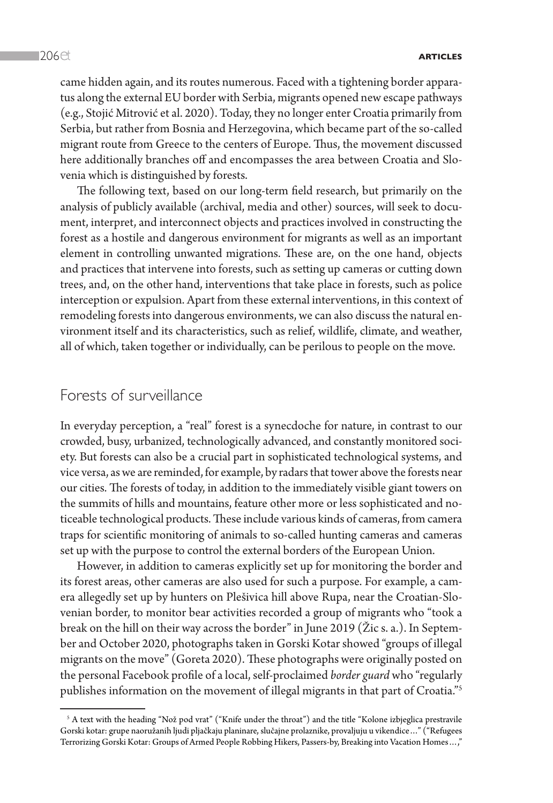came hidden again, and its routes numerous. Faced with a tightening border apparatus along the external EU border with Serbia, migrants opened new escape pathways (e.g., Stojić Mitrović et al. 2020). Today, they no longer enter Croatia primarily from Serbia, but rather from Bosnia and Herzegovina, which became part of the so-called migrant route from Greece to the centers of Europe. Thus, the movement discussed here additionally branches off and encompasses the area between Croatia and Slovenia which is distinguished by forests.

The following text, based on our long-term field research, but primarily on the analysis of publicly available (archival, media and other) sources, will seek to document, interpret, and interconnect objects and practices involved in constructing the forest as a hostile and dangerous environment for migrants as well as an important element in controlling unwanted migrations. These are, on the one hand, objects and practices that intervene into forests, such as setting up cameras or cutting down trees, and, on the other hand, interventions that take place in forests, such as police interception or expulsion. Apart from these external interventions, in this context of remodeling forests into dangerous environments, we can also discuss the natural environment itself and its characteristics, such as relief, wildlife, climate, and weather, all of which, taken together or individually, can be perilous to people on the move.

## Forests of surveillance

In everyday perception, a "real" forest is a synecdoche for nature, in contrast to our crowded, busy, urbanized, technologically advanced, and constantly monitored society. But forests can also be a crucial part in sophisticated technological systems, and vice versa, as we are reminded, for example, by radars that tower above the forests near our cities. The forests of today, in addition to the immediately visible giant towers on the summits of hills and mountains, feature other more or less sophisticated and noticeable technological products. These include various kinds of cameras, from camera traps for scientific monitoring of animals to so-called hunting cameras and cameras set up with the purpose to control the external borders of the European Union.

However, in addition to cameras explicitly set up for monitoring the border and its forest areas, other cameras are also used for such a purpose. For example, a camera allegedly set up by hunters on Plešivica hill above Rupa, near the Croatian-Slovenian border, to monitor bear activities recorded a group of migrants who "took a break on the hill on their way across the border" in June 2019 (Žic s. a.). In September and October 2020, photographs taken in Gorski Kotar showed "groups of illegal migrants on the move" (Goreta 2020). These photographs were originally posted on the personal Facebook profile of a local, self-proclaimed *border guard* who "regularly publishes information on the movement of illegal migrants in that part of Croatia."5

 $^{\circ}$  A text with the heading "Nož pod vrat" ("Knife under the throat") and the title "Kolone izbjeglica prestravile Gorski kotar: grupe naoružanih ljudi pljačkaju planinare, slučajne prolaznike, provaljuju u vikendice…" ("Refugees Terrorizing Gorski Kotar: Groups of Armed People Robbing Hikers, Passers-by, Breaking into Vacation Homes…,"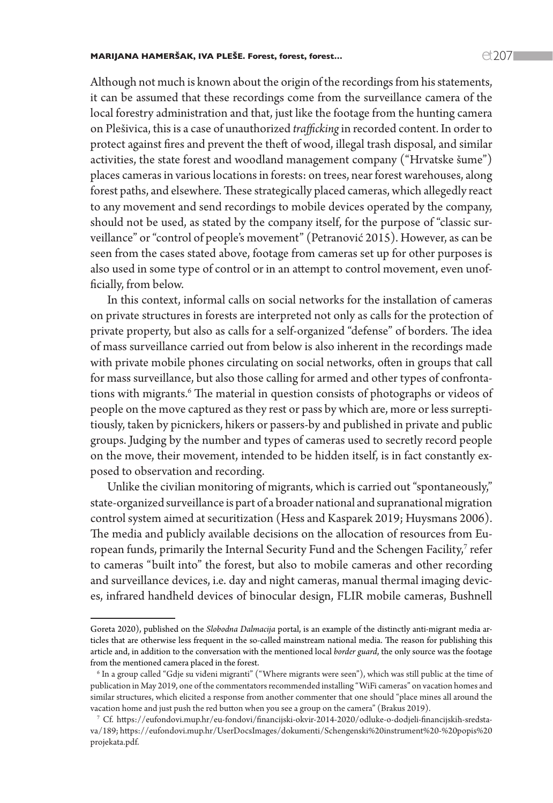#### MARIJANA HAMERŠAK, IVA PLEŠE. Forest, forest, forest...  $\text{C}$  207  $\text{C}$

Although not much is known about the origin of the recordings from his statements, it can be assumed that these recordings come from the surveillance camera of the local forestry administration and that, just like the footage from the hunting camera on Plešivica, this is a case of unauthorized *trafficking* in recorded content. In order to protect against fires and prevent the theft of wood, illegal trash disposal, and similar activities, the state forest and woodland management company ("Hrvatske šume") places cameras in various locations in forests: on trees, near forest warehouses, along forest paths, and elsewhere. These strategically placed cameras, which allegedly react to any movement and send recordings to mobile devices operated by the company, should not be used, as stated by the company itself, for the purpose of "classic surveillance" or "control of people's movement" (Petranović 2015). However, as can be seen from the cases stated above, footage from cameras set up for other purposes is also used in some type of control or in an attempt to control movement, even unofficially, from below.

In this context, informal calls on social networks for the installation of cameras on private structures in forests are interpreted not only as calls for the protection of private property, but also as calls for a self-organized "defense" of borders. The idea of mass surveillance carried out from below is also inherent in the recordings made with private mobile phones circulating on social networks, often in groups that call for mass surveillance, but also those calling for armed and other types of confrontations with migrants.<sup>6</sup> The material in question consists of photographs or videos of people on the move captured as they rest or pass by which are, more or less surreptitiously, taken by picnickers, hikers or passers-by and published in private and public groups. Judging by the number and types of cameras used to secretly record people on the move, their movement, intended to be hidden itself, is in fact constantly exposed to observation and recording.

Unlike the civilian monitoring of migrants, which is carried out "spontaneously," state-organized surveillance is part of a broader national and supranational migration control system aimed at securitization (Hess and Kasparek 2019; Huysmans 2006). The media and publicly available decisions on the allocation of resources from European funds, primarily the Internal Security Fund and the Schengen Facility,<sup>7</sup> refer to cameras "built into" the forest, but also to mobile cameras and other recording and surveillance devices, i.e. day and night cameras, manual thermal imaging devices, infrared handheld devices of binocular design, FLIR mobile cameras, Bushnell

Goreta 2020), published on the *Slobodna Dalmacija* portal, is an example of the distinctly anti-migrant media articles that are otherwise less frequent in the so-called mainstream national media. The reason for publishing this article and, in addition to the conversation with the mentioned local *border guard*, the only source was the footage from the mentioned camera placed in the forest.

 $^6$  In a group called "Gdje su viđeni migranti" ("Where migrants were seen"), which was still public at the time of publication in May 2019, one of the commentators recommended installing "WiFi cameras" on vacation homes and similar structures, which elicited a response from another commenter that one should "place mines all around the vacation home and just push the red button when you see a group on the camera" (Brakus 2019).

<sup>7</sup> Cf. [https://eufondovi.mup.hr/eu-fondovi/financijski-okvir-2014-2020/odluke-o-dodjeli-financijskih-sredsta](https://eufondovi.mup.hr/eu-fondovi/financijski-okvir-2014-2020/odluke-o-dodjeli-financijskih-sredstava/189)[va/189](https://eufondovi.mup.hr/eu-fondovi/financijski-okvir-2014-2020/odluke-o-dodjeli-financijskih-sredstava/189); [https://eufondovi.mup.hr/UserDocsImages/dokumenti/Schengenski%20instrument%20-%20popis%20](https://eufondovi.mup.hr/UserDocsImages/dokumenti/Schengenski%20instrument%20-%20popis%20projekata.pdf) [projekata.pdf](https://eufondovi.mup.hr/UserDocsImages/dokumenti/Schengenski%20instrument%20-%20popis%20projekata.pdf).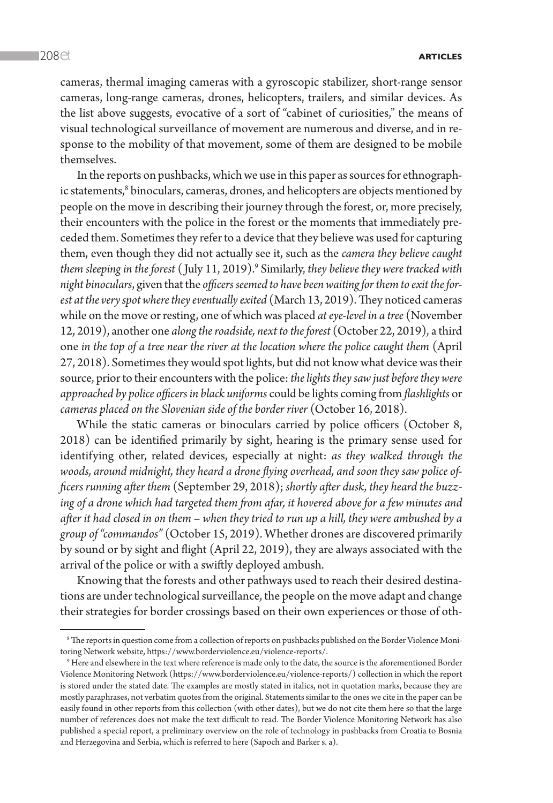cameras, thermal imaging cameras with a gyroscopic stabilizer, short-range sensor cameras, long-range cameras, drones, helicopters, trailers, and similar devices. As the list above suggests, evocative of a sort of "cabinet of curiosities," the means of visual technological surveillance of movement are numerous and diverse, and in response to the mobility of that movement, some of them are designed to be mobile themselves.

In the reports on pushbacks, which we use in this paper as sources for ethnographic statements, $^8$  binoculars, cameras, drones, and helicopters are objects mentioned by people on the move in describing their journey through the forest, or, more precisely, their encounters with the police in the forest or the moments that immediately preceded them. Sometimes they refer to a device that they believe was used for capturing them, even though they did not actually see it, such as the *camera they believe caught them sleeping in the forest* ( July 11, 2019).9 Similarly, *they believe they were tracked with night binoculars*, given that the *officers seemed to have been waiting for them to exit the forest at the very spot where they eventually exited* (March 13, 2019). They noticed cameras while on the move or resting, one of which was placed *at eye-level in a tree* (November 12, 2019), another one *along the roadside, next to the forest* (October 22, 2019), a third one *in the top of a tree near the river at the location where the police caught them* (April 27, 2018). Sometimes they would spot lights, but did not know what device was their source, prior to their encounters with the police: *the lights they saw just before they were approached by police officers in black uniforms* could be lights coming from *flashlights* or *cameras placed on the Slovenian side of the border river* (October 16, 2018).

While the static cameras or binoculars carried by police officers (October 8, 2018) can be identified primarily by sight, hearing is the primary sense used for identifying other, related devices, especially at night: *as they walked through the woods, around midnight, they heard a drone flying overhead, and soon they saw police officers running after them* (September 29, 2018); *shortly after dusk, they heard the buzzing of a drone which had targeted them from afar, it hovered above for a few minutes and after it had closed in on them – when they tried to run up a hill, they were ambushed by a group of "commandos"* (October 15, 2019). Whether drones are discovered primarily by sound or by sight and flight (April 22, 2019), they are always associated with the arrival of the police or with a swiftly deployed ambush.

Knowing that the forests and other pathways used to reach their desired destinations are under technological surveillance, the people on the move adapt and change their strategies for border crossings based on their own experiences or those of oth-

<sup>8</sup> The reports in question come from a collection of reports on pushbacks published on the Border Violence Monitoring Network website, [https://www.borderviolence.eu/violence-reports/.](https://www.borderviolence.eu/violence-reports/) 9

<sup>&</sup>lt;sup>9</sup> Here and elsewhere in the text where reference is made only to the date, the source is the aforementioned Border Violence Monitoring Network (<https://www.borderviolence.eu/violence-reports/>) collection in which the report is stored under the stated date. The examples are mostly stated in italics, not in quotation marks, because they are mostly paraphrases, not verbatim quotes from the original. Statements similar to the ones we cite in the paper can be easily found in other reports from this collection (with other dates), but we do not cite them here so that the large number of references does not make the text difficult to read. The Border Violence Monitoring Network has also published a special report, a preliminary overview on the role of technology in pushbacks from Croatia to Bosnia and Herzegovina and Serbia, which is referred to here (Sapoch and Barker s. a).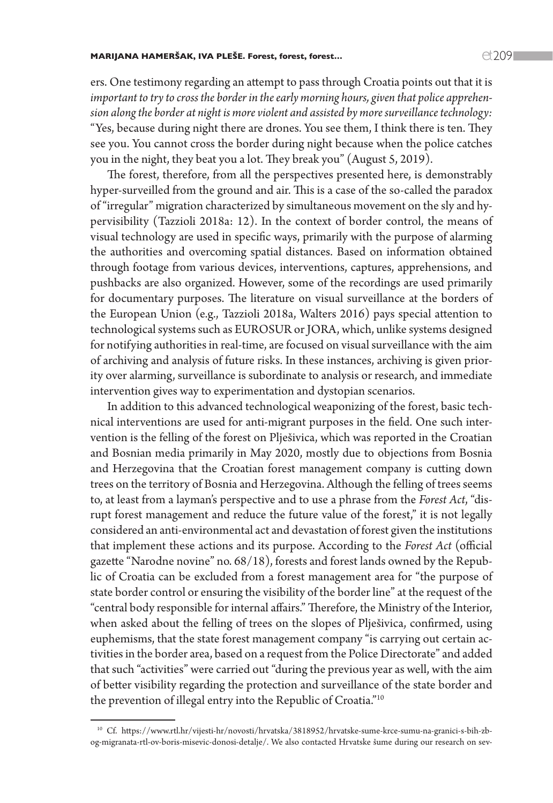#### MARIJANA HAMERŠAK, IVA PLEŠE. Forest, forest, forest…  $C(709$

ers. One testimony regarding an attempt to pass through Croatia points out that it is *important to try to cross the border in the early morning hours, given that police apprehension along the border at night is more violent and assisted by more surveillance technology:* "Yes, because during night there are drones. You see them, I think there is ten. They see you. You cannot cross the border during night because when the police catches you in the night, they beat you a lot. They break you" (August 5, 2019).

The forest, therefore, from all the perspectives presented here, is demonstrably hyper-surveilled from the ground and air. This is a case of the so-called the paradox of "irregular" migration characterized by simultaneous movement on the sly and hypervisibility (Tazzioli 2018a: 12). In the context of border control, the means of visual technology are used in specific ways, primarily with the purpose of alarming the authorities and overcoming spatial distances. Based on information obtained through footage from various devices, interventions, captures, apprehensions, and pushbacks are also organized. However, some of the recordings are used primarily for documentary purposes. The literature on visual surveillance at the borders of the European Union (e.g., Tazzioli 2018a, Walters 2016) pays special attention to technological systems such as EUROSUR or JORA, which, unlike systems designed for notifying authorities in real-time, are focused on visual surveillance with the aim of archiving and analysis of future risks. In these instances, archiving is given priority over alarming, surveillance is subordinate to analysis or research, and immediate intervention gives way to experimentation and dystopian scenarios.

In addition to this advanced technological weaponizing of the forest, basic technical interventions are used for anti-migrant purposes in the field. One such intervention is the felling of the forest on Plješivica, which was reported in the Croatian and Bosnian media primarily in May 2020, mostly due to objections from Bosnia and Herzegovina that the Croatian forest management company is cutting down trees on the territory of Bosnia and Herzegovina. Although the felling of trees seems to, at least from a layman's perspective and to use a phrase from the *Forest Act*, "disrupt forest management and reduce the future value of the forest," it is not legally considered an anti-environmental act and devastation of forest given the institutions that implement these actions and its purpose. According to the *Forest Act* (official gazette "Narodne novine" no. 68/18), forests and forest lands owned by the Republic of Croatia can be excluded from a forest management area for "the purpose of state border control or ensuring the visibility of the border line" at the request of the "central body responsible for internal affairs." Therefore, the Ministry of the Interior, when asked about the felling of trees on the slopes of Plješivica, confirmed, using euphemisms, that the state forest management company "is carrying out certain activities in the border area, based on a request from the Police Directorate" and added that such "activities" were carried out "during the previous year as well, with the aim of better visibility regarding the protection and surveillance of the state border and the prevention of illegal entry into the Republic of Croatia."10

<sup>10</sup> Cf. [https://www.rtl.hr/vijesti-hr/novosti/hrvatska/3818952/hrvatske-sume-krce-sumu-na-granici-s-bih-zb](https://www.rtl.hr/vijesti-hr/novosti/hrvatska/3818952/hrvatske-sume-krce-sumu-na-granici-s-bih-zbog-migranata-rtl-ov-boris-misevic-donosi-detalje/)[og-migranata-rtl-ov-boris-misevic-donosi-detalje/.](https://www.rtl.hr/vijesti-hr/novosti/hrvatska/3818952/hrvatske-sume-krce-sumu-na-granici-s-bih-zbog-migranata-rtl-ov-boris-misevic-donosi-detalje/) We also contacted Hrvatske šume during our research on sev-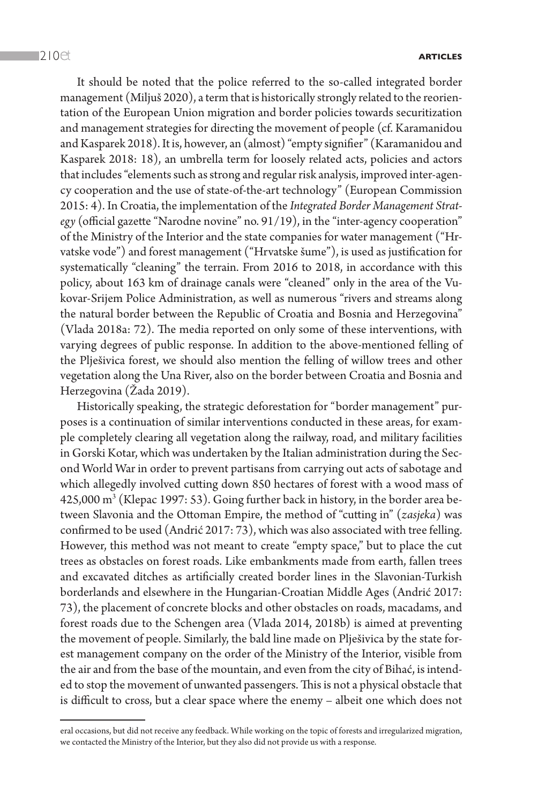It should be noted that the police referred to the so-called integrated border management (Miljuš 2020), a term that is historically strongly related to the reorientation of the European Union migration and border policies towards securitization and management strategies for directing the movement of people (cf. Karamanidou and Kasparek 2018). It is, however, an (almost) "empty signifier" (Karamanidou and Kasparek 2018: 18), an umbrella term for loosely related acts, policies and actors that includes "elements such as strong and regular risk analysis, improved inter-agency cooperation and the use of state-of-the-art technology" (European Commission 2015: 4). In Croatia, the implementation of the *Integrated Border Management Strategy* (official gazette "Narodne novine" no. 91/19), in the "inter-agency cooperation" of the Ministry of the Interior and the state companies for water management ("Hrvatske vode") and forest management ("Hrvatske šume"), is used as justification for systematically "cleaning" the terrain. From 2016 to 2018, in accordance with this policy, about 163 km of drainage canals were "cleaned" only in the area of the Vukovar-Srijem Police Administration, as well as numerous "rivers and streams along the natural border between the Republic of Croatia and Bosnia and Herzegovina" (Vlada 2018a: 72). The media reported on only some of these interventions, with varying degrees of public response. In addition to the above-mentioned felling of the Plješivica forest, we should also mention the felling of willow trees and other vegetation along the Una River, also on the border between Croatia and Bosnia and Herzegovina (Žada 2019).

Historically speaking, the strategic deforestation for "border management" purposes is a continuation of similar interventions conducted in these areas, for example completely clearing all vegetation along the railway, road, and military facilities in Gorski Kotar, which was undertaken by the Italian administration during the Second World War in order to prevent partisans from carrying out acts of sabotage and which allegedly involved cutting down 850 hectares of forest with a wood mass of 425,000 m3 (Klepac 1997: 53). Going further back in history, in the border area between Slavonia and the Ottoman Empire, the method of "cutting in" (*zasjeka*) was confirmed to be used (Andrić 2017: 73), which was also associated with tree felling. However, this method was not meant to create "empty space," but to place the cut trees as obstacles on forest roads. Like embankments made from earth, fallen trees and excavated ditches as artificially created border lines in the Slavonian-Turkish borderlands and elsewhere in the Hungarian-Croatian Middle Ages (Andrić 2017: 73), the placement of concrete blocks and other obstacles on roads, macadams, and forest roads due to the Schengen area (Vlada 2014, 2018b) is aimed at preventing the movement of people. Similarly, the bald line made on Plješivica by the state forest management company on the order of the Ministry of the Interior, visible from the air and from the base of the mountain, and even from the city of Bihać, is intended to stop the movement of unwanted passengers. This is not a physical obstacle that is difficult to cross, but a clear space where the enemy – albeit one which does not

eral occasions, but did not receive any feedback. While working on the topic of forests and irregularized migration, we contacted the Ministry of the Interior, but they also did not provide us with a response.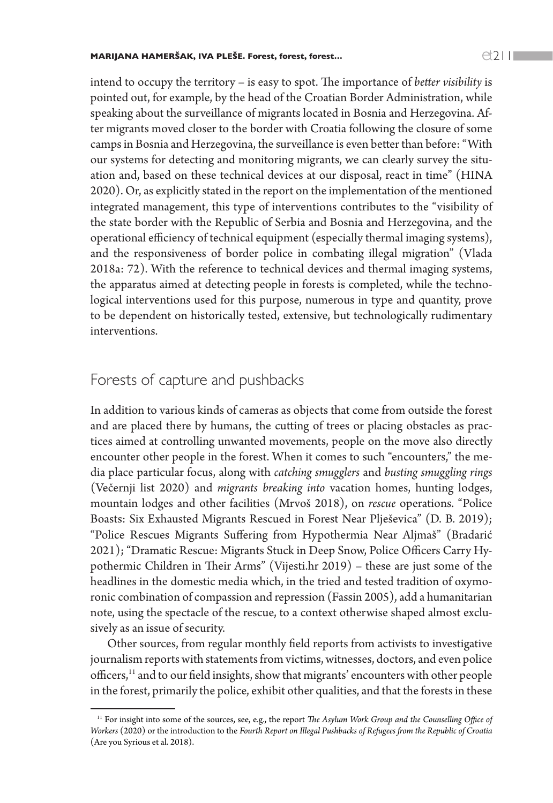intend to occupy the territory – is easy to spot. The importance of *better visibility* is pointed out, for example, by the head of the Croatian Border Administration, while speaking about the surveillance of migrants located in Bosnia and Herzegovina. After migrants moved closer to the border with Croatia following the closure of some camps in Bosnia and Herzegovina, the surveillance is even better than before: "With our systems for detecting and monitoring migrants, we can clearly survey the situation and, based on these technical devices at our disposal, react in time" (HINA 2020). Or, as explicitly stated in the report on the implementation of the mentioned integrated management, this type of interventions contributes to the "visibility of the state border with the Republic of Serbia and Bosnia and Herzegovina, and the operational efficiency of technical equipment (especially thermal imaging systems), and the responsiveness of border police in combating illegal migration" (Vlada 2018a: 72). With the reference to technical devices and thermal imaging systems, the apparatus aimed at detecting people in forests is completed, while the technological interventions used for this purpose, numerous in type and quantity, prove to be dependent on historically tested, extensive, but technologically rudimentary interventions.

## Forests of capture and pushbacks

In addition to various kinds of cameras as objects that come from outside the forest and are placed there by humans, the cutting of trees or placing obstacles as practices aimed at controlling unwanted movements, people on the move also directly encounter other people in the forest. When it comes to such "encounters," the media place particular focus, along with *catching smugglers* and *busting smuggling rings*  (Večernji list 2020) and *migrants breaking into* vacation homes, hunting lodges, mountain lodges and other facilities (Mrvoš 2018), on *rescue* operations. "Police Boasts: Six Exhausted Migrants Rescued in Forest Near Plješevica" (D. B. 2019); "Police Rescues Migrants Suffering from Hypothermia Near Aljmaš" (Bradarić 2021); "Dramatic Rescue: Migrants Stuck in Deep Snow, Police Officers Carry Hypothermic Children in Their Arms" (Vijesti.hr 2019) – these are just some of the headlines in the domestic media which, in the tried and tested tradition of oxymoronic combination of compassion and repression (Fassin 2005), add a humanitarian note, using the spectacle of the rescue, to a context otherwise shaped almost exclusively as an issue of security.

Other sources, from regular monthly field reports from activists to investigative journalism reports with statements from victims, witnesses, doctors, and even police officers,<sup>11</sup> and to our field insights, show that migrants' encounters with other people in the forest, primarily the police, exhibit other qualities, and that the forests in these

<sup>&</sup>lt;sup>11</sup> For insight into some of the sources, see, e.g., the report *The Asylum Work Group and the Counselling Office of Workers* (2020) or the introduction to the *Fourth Report on Illegal Pushbacks of Refugees from the Republic of Croatia*  (Are you Syrious et al. 2018).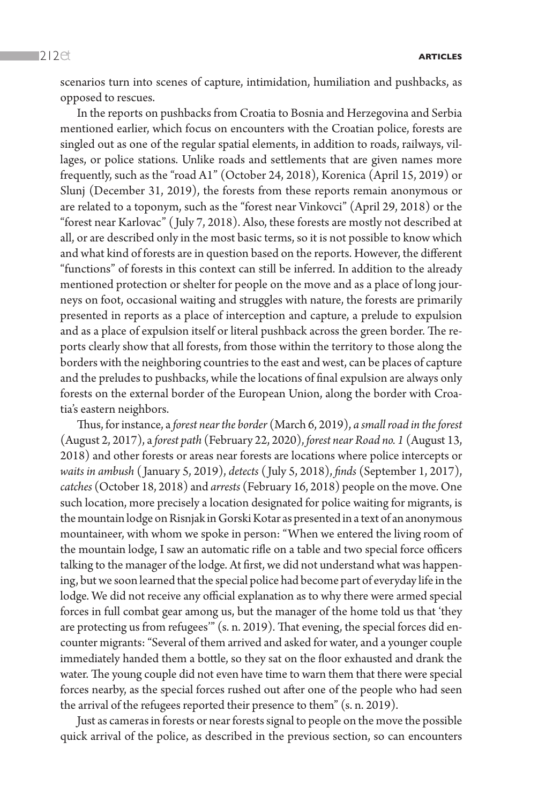scenarios turn into scenes of capture, intimidation, humiliation and pushbacks, as opposed to rescues.

In the reports on pushbacks from Croatia to Bosnia and Herzegovina and Serbia mentioned earlier, which focus on encounters with the Croatian police, forests are singled out as one of the regular spatial elements, in addition to roads, railways, villages, or police stations. Unlike roads and settlements that are given names more frequently, such as the "road A1" (October 24, 2018), Korenica (April 15, 2019) or Slunj (December 31, 2019), the forests from these reports remain anonymous or are related to a toponym, such as the "forest near Vinkovci" (April 29, 2018) or the "forest near Karlovac" ( July 7, 2018). Also, these forests are mostly not described at all, or are described only in the most basic terms, so it is not possible to know which and what kind of forests are in question based on the reports. However, the different "functions" of forests in this context can still be inferred. In addition to the already mentioned protection or shelter for people on the move and as a place of long journeys on foot, occasional waiting and struggles with nature, the forests are primarily presented in reports as a place of interception and capture, a prelude to expulsion and as a place of expulsion itself or literal pushback across the green border. The reports clearly show that all forests, from those within the territory to those along the borders with the neighboring countries to the east and west, can be places of capture and the preludes to pushbacks, while the locations of final expulsion are always only forests on the external border of the European Union, along the border with Croatia's eastern neighbors.

Thus, for instance, a *forest near the border* (March 6, 2019), *a small road in the forest*  (August 2, 2017), a *forest path* (February 22, 2020), *forest near Road no. 1* (August 13, 2018) and other forests or areas near forests are locations where police intercepts or *waits in ambush* ( January 5, 2019), *detects* ( July 5, 2018), *finds* (September 1, 2017), *catches* (October 18, 2018) and *arrests* (February 16, 2018) people on the move. One such location, more precisely a location designated for police waiting for migrants, is the mountain lodge on Risnjak in Gorski Kotar as presented in a text of an anonymous mountaineer, with whom we spoke in person: "When we entered the living room of the mountain lodge, I saw an automatic rifle on a table and two special force officers talking to the manager of the lodge. At first, we did not understand what was happening, but we soon learned that the special police had become part of everyday life in the lodge. We did not receive any official explanation as to why there were armed special forces in full combat gear among us, but the manager of the home told us that 'they are protecting us from refugees'" (s. n. 2019). That evening, the special forces did encounter migrants: "Several of them arrived and asked for water, and a younger couple immediately handed them a bottle, so they sat on the floor exhausted and drank the water. The young couple did not even have time to warn them that there were special forces nearby, as the special forces rushed out after one of the people who had seen the arrival of the refugees reported their presence to them" (s. n. 2019).

Just as cameras in forests or near forests signal to people on the move the possible quick arrival of the police, as described in the previous section, so can encounters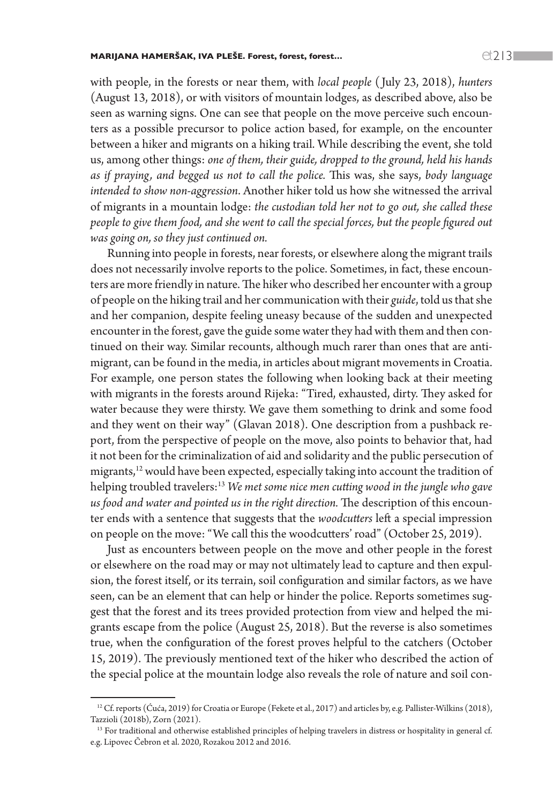with people, in the forests or near them, with *local people* ( July 23, 2018), *hunters* (August 13, 2018), or with visitors of mountain lodges, as described above, also be seen as warning signs. One can see that people on the move perceive such encounters as a possible precursor to police action based, for example, on the encounter between a hiker and migrants on a hiking trail. While describing the event, she told us, among other things: *one of them, their guide, dropped to the ground, held his hands as if praying, and begged us not to call the police.* This was, she says, *body language intended to show non-aggression*. Another hiker told us how she witnessed the arrival of migrants in a mountain lodge: *the custodian told her not to go out, she called these people to give them food, and she went to call the special forces, but the people figured out was going on, so they just continued on.*

Running into people in forests, near forests, or elsewhere along the migrant trails does not necessarily involve reports to the police. Sometimes, in fact, these encounters are more friendly in nature. The hiker who described her encounter with a group of people on the hiking trail and her communication with their *guide*, told us that she and her companion, despite feeling uneasy because of the sudden and unexpected encounter in the forest, gave the guide some water they had with them and then continued on their way. Similar recounts, although much rarer than ones that are antimigrant, can be found in the media, in articles about migrant movements in Croatia. For example, one person states the following when looking back at their meeting with migrants in the forests around Rijeka: "Tired, exhausted, dirty. They asked for water because they were thirsty. We gave them something to drink and some food and they went on their way" (Glavan 2018). One description from a pushback report, from the perspective of people on the move, also points to behavior that, had it not been for the criminalization of aid and solidarity and the public persecution of migrants,<sup>12</sup> would have been expected, especially taking into account the tradition of helping troubled travelers:13 *We met some nice men cutting wood in the jungle who gave us food and water and pointed us in the right direction.* The description of this encounter ends with a sentence that suggests that the *woodcutters* left a special impression on people on the move: "We call this the woodcutters' road" (October 25, 2019).

Just as encounters between people on the move and other people in the forest or elsewhere on the road may or may not ultimately lead to capture and then expulsion, the forest itself, or its terrain, soil configuration and similar factors, as we have seen, can be an element that can help or hinder the police. Reports sometimes suggest that the forest and its trees provided protection from view and helped the migrants escape from the police (August 25, 2018). But the reverse is also sometimes true, when the configuration of the forest proves helpful to the catchers (October 15, 2019). The previously mentioned text of the hiker who described the action of the special police at the mountain lodge also reveals the role of nature and soil con-

<sup>&</sup>lt;sup>12</sup> Cf. reports (Ćuća, 2019) for Croatia or Europe (Fekete et al., 2017) and articles by, e.g. Pallister-Wilkins (2018), Tazzioli (2018b), Zorn (2021).

<sup>&</sup>lt;sup>13</sup> For traditional and otherwise established principles of helping travelers in distress or hospitality in general cf. e.g. Lipovec Čebron et al. 2020, Rozakou 2012 and 2016.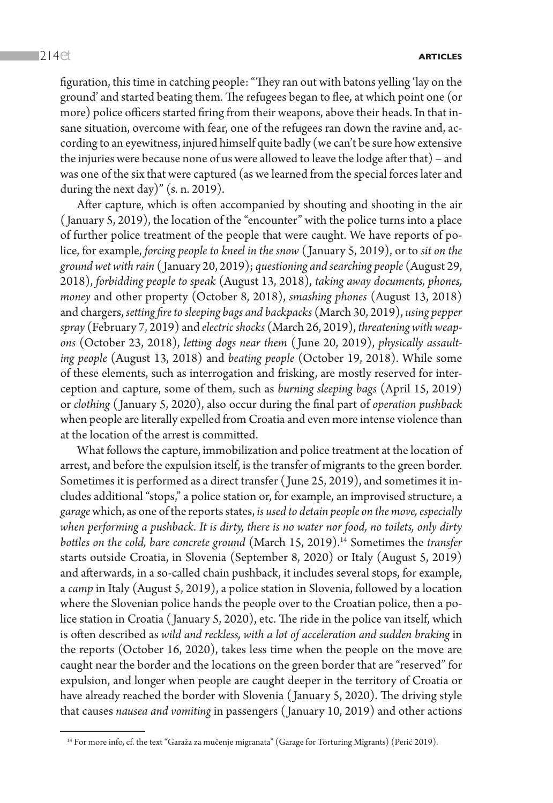figuration, this time in catching people: "They ran out with batons yelling 'lay on the ground' and started beating them. The refugees began to flee, at which point one (or more) police officers started firing from their weapons, above their heads. In that insane situation, overcome with fear, one of the refugees ran down the ravine and, according to an eyewitness, injured himself quite badly (we can't be sure how extensive the injuries were because none of us were allowed to leave the lodge after that) – and was one of the six that were captured (as we learned from the special forces later and during the next day)" (s. n. 2019).

After capture, which is often accompanied by shouting and shooting in the air ( January 5, 2019), the location of the "encounter" with the police turns into a place of further police treatment of the people that were caught. We have reports of police, for example, *forcing people to kneel in the snow* ( January 5, 2019), or to *sit on the ground wet with rain* ( January 20, 2019); *questioning and searching people* (August 29, 2018), *forbidding people to speak* (August 13, 2018), *taking away documents, phones, money* and other property (October 8, 2018), *smashing phones* (August 13, 2018) and chargers, *setting fire to sleeping bags and backpacks* (March 30, 2019), *using pepper spray* (February 7, 2019) and *electric shocks* (March 26, 2019), *threatening with weapons* (October 23, 2018), *letting dogs near them* ( June 20, 2019), *physically assaulting people* (August 13, 2018) and *beating people* (October 19, 2018). While some of these elements, such as interrogation and frisking, are mostly reserved for interception and capture, some of them, such as *burning sleeping bags* (April 15, 2019) or *clothing* ( January 5, 2020), also occur during the final part of *operation pushback*  when people are literally expelled from Croatia and even more intense violence than at the location of the arrest is committed.

What follows the capture, immobilization and police treatment at the location of arrest, and before the expulsion itself, is the transfer of migrants to the green border. Sometimes it is performed as a direct transfer ( June 25, 2019), and sometimes it includes additional "stops," a police station or, for example, an improvised structure, a *garage* which, as one of the reports states, *is used to detain people on the move, especially when performing a pushback*. *It is dirty, there is no water nor food, no toilets, only dirty bottles on the cold, bare concrete ground* (March 15, 2019).14 Sometimes the *transfer* starts outside Croatia, in Slovenia (September 8, 2020) or Italy (August 5, 2019) and afterwards, in a so-called chain pushback, it includes several stops, for example, a *camp* in Italy (August 5, 2019), a police station in Slovenia, followed by a location where the Slovenian police hands the people over to the Croatian police, then a police station in Croatia ( January 5, 2020), etc. The ride in the police van itself, which is often described as wild and reckless, with a lot of acceleration and sudden braking in the reports (October 16, 2020), takes less time when the people on the move are caught near the border and the locations on the green border that are "reserved" for expulsion, and longer when people are caught deeper in the territory of Croatia or have already reached the border with Slovenia ( January 5, 2020). The driving style that causes *nausea and vomiting* in passengers ( January 10, 2019) and other actions

<sup>&</sup>lt;sup>14</sup> For more info, cf. the text "Garaža za mučenje migranata" (Garage for Torturing Migrants) (Perić 2019).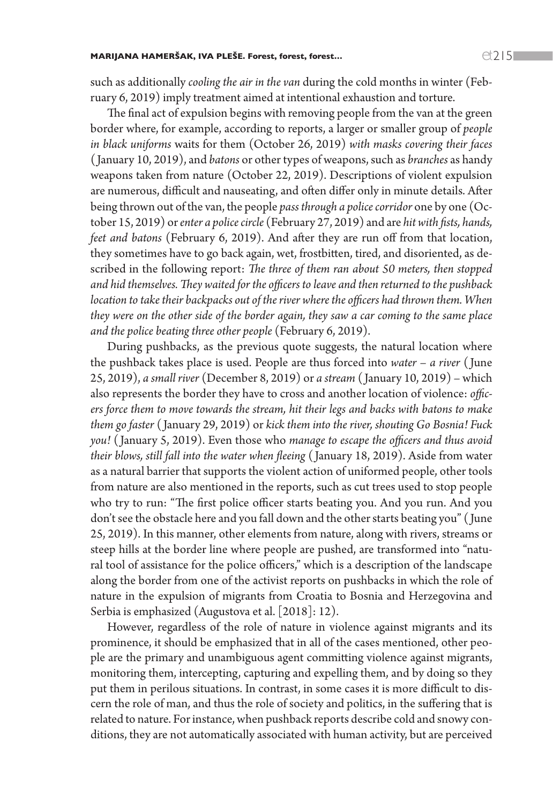such as additionally *cooling the air in the van* during the cold months in winter (February 6, 2019) imply treatment aimed at intentional exhaustion and torture.

The final act of expulsion begins with removing people from the van at the green border where, for example, according to reports, a larger or smaller group of *people in black uniforms* waits for them (October 26, 2019) *with masks covering their faces*  ( January 10, 2019), and *batons* or other types of weapons, such as *branches* as handy weapons taken from nature (October 22, 2019). Descriptions of violent expulsion are numerous, difficult and nauseating, and often differ only in minute details. After being thrown out of the van, the people *pass through a police corridor* one by one (October 15, 2019) or *enter a police circle* (February 27, 2019) and are *hit with fists, hands, feet and batons* (February 6, 2019). And after they are run off from that location, they sometimes have to go back again, wet, frostbitten, tired, and disoriented, as described in the following report: *The three of them ran about 50 meters, then stopped and hid themselves. They waited for the officers to leave and then returned to the pushback*  location to take their backpacks out of the river where the officers had thrown them. When *they were on the other side of the border again, they saw a car coming to the same place and the police beating three other people* (February 6, 2019).

During pushbacks, as the previous quote suggests, the natural location where the pushback takes place is used. People are thus forced into *water* – *a river* ( June 25, 2019), *a small river* (December 8, 2019) or *a stream* ( January 10, 2019) – which also represents the border they have to cross and another location of violence: *officers force them to move towards the stream, hit their legs and backs with batons to make them go faster* ( January 29, 2019) or *kick them into the river, shouting Go Bosnia! Fuck you!* ( January 5, 2019). Even those who *manage to escape the officers and thus avoid their blows, still fall into the water when fleeing* ( January 18, 2019). Aside from water as a natural barrier that supports the violent action of uniformed people, other tools from nature are also mentioned in the reports, such as cut trees used to stop people who try to run: "The first police officer starts beating you. And you run. And you don't see the obstacle here and you fall down and the other starts beating you" ( June 25, 2019). In this manner, other elements from nature, along with rivers, streams or steep hills at the border line where people are pushed, are transformed into "natural tool of assistance for the police officers," which is a description of the landscape along the border from one of the activist reports on pushbacks in which the role of nature in the expulsion of migrants from Croatia to Bosnia and Herzegovina and Serbia is emphasized (Augustova et al. [2018]: 12).

However, regardless of the role of nature in violence against migrants and its prominence, it should be emphasized that in all of the cases mentioned, other people are the primary and unambiguous agent committing violence against migrants, monitoring them, intercepting, capturing and expelling them, and by doing so they put them in perilous situations. In contrast, in some cases it is more difficult to discern the role of man, and thus the role of society and politics, in the suffering that is related to nature. For instance, when pushback reports describe cold and snowy conditions, they are not automatically associated with human activity, but are perceived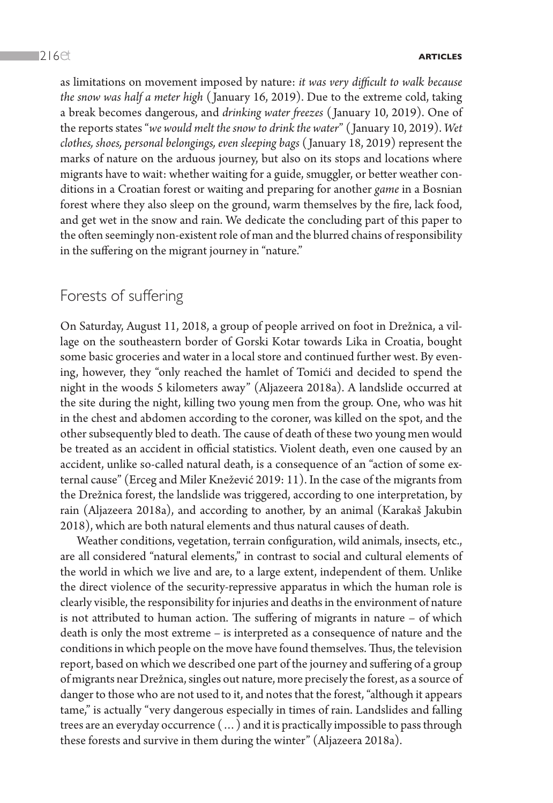as limitations on movement imposed by nature: *it was very difficult to walk because the snow was half a meter high* ( January 16, 2019). Due to the extreme cold, taking a break becomes dangerous, and *drinking water freezes* ( January 10, 2019). One of the reports states "*we would melt the snow to drink the water*" ( January 10, 2019). *Wet clothes, shoes, personal belongings, even sleeping bags* ( January 18, 2019) represent the marks of nature on the arduous journey, but also on its stops and locations where migrants have to wait: whether waiting for a guide, smuggler, or better weather conditions in a Croatian forest or waiting and preparing for another *game* in a Bosnian forest where they also sleep on the ground, warm themselves by the fire, lack food, and get wet in the snow and rain. We dedicate the concluding part of this paper to the often seemingly non-existent role of man and the blurred chains of responsibility in the suffering on the migrant journey in "nature."

## Forests of suffering

On Saturday, August 11, 2018, a group of people arrived on foot in Drežnica, a village on the southeastern border of Gorski Kotar towards Lika in Croatia, bought some basic groceries and water in a local store and continued further west. By evening, however, they "only reached the hamlet of Tomići and decided to spend the night in the woods 5 kilometers away" (Aljazeera 2018a). A landslide occurred at the site during the night, killing two young men from the group. One, who was hit in the chest and abdomen according to the coroner, was killed on the spot, and the other subsequently bled to death. The cause of death of these two young men would be treated as an accident in official statistics. Violent death, even one caused by an accident, unlike so-called natural death, is a consequence of an "action of some external cause" (Erceg and Miler Knežević 2019: 11). In the case of the migrants from the Drežnica forest, the landslide was triggered, according to one interpretation, by rain (Aljazeera 2018a), and according to another, by an animal (Karakaš Jakubin 2018), which are both natural elements and thus natural causes of death.

Weather conditions, vegetation, terrain configuration, wild animals, insects, etc., are all considered "natural elements," in contrast to social and cultural elements of the world in which we live and are, to a large extent, independent of them. Unlike the direct violence of the security-repressive apparatus in which the human role is clearly visible, the responsibility for injuries and deaths in the environment of nature is not attributed to human action. The suffering of migrants in nature – of which death is only the most extreme – is interpreted as a consequence of nature and the conditions in which people on the move have found themselves. Thus, the television report, based on which we described one part of the journey and suffering of a group of migrants near Drežnica, singles out nature, more precisely the forest, as a source of danger to those who are not used to it, and notes that the forest, "although it appears tame," is actually "very dangerous especially in times of rain. Landslides and falling trees are an everyday occurrence (…) and it is practically impossible to pass through these forests and survive in them during the winter" (Aljazeera 2018a).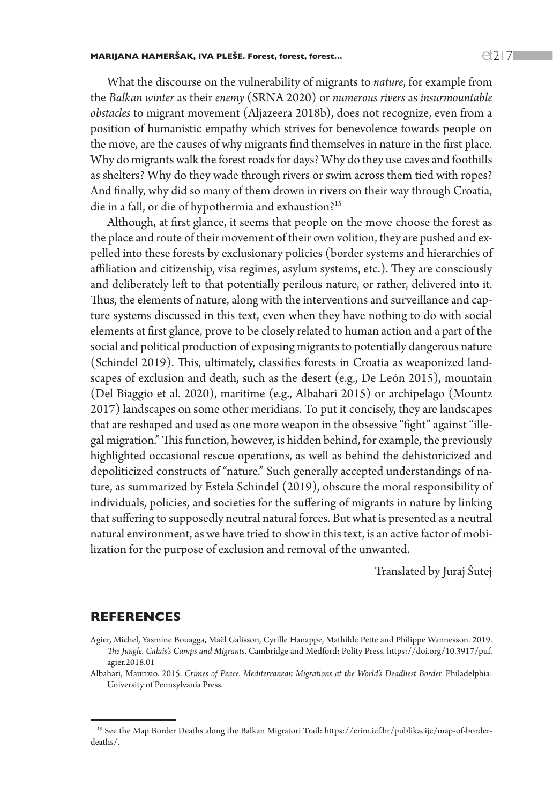What the discourse on the vulnerability of migrants to *nature*, for example from the *Balkan winter* as their *enemy* (SRNA 2020) or *numerous rivers* as *insurmountable obstacles* to migrant movement (Aljazeera 2018b), does not recognize, even from a position of humanistic empathy which strives for benevolence towards people on the move, are the causes of why migrants find themselves in nature in the first place. Why do migrants walk the forest roads for days? Why do they use caves and foothills as shelters? Why do they wade through rivers or swim across them tied with ropes? And finally, why did so many of them drown in rivers on their way through Croatia, die in a fall, or die of hypothermia and exhaustion?<sup>15</sup>

Although, at first glance, it seems that people on the move choose the forest as the place and route of their movement of their own volition, they are pushed and expelled into these forests by exclusionary policies (border systems and hierarchies of affiliation and citizenship, visa regimes, asylum systems, etc.). They are consciously and deliberately left to that potentially perilous nature, or rather, delivered into it. Thus, the elements of nature, along with the interventions and surveillance and capture systems discussed in this text, even when they have nothing to do with social elements at first glance, prove to be closely related to human action and a part of the social and political production of exposing migrants to potentially dangerous nature (Schindel 2019). This, ultimately, classifies forests in Croatia as weaponized landscapes of exclusion and death, such as the desert (e.g., De León 2015), mountain (Del Biaggio et al. 2020), maritime (e.g., Albahari 2015) or archipelago (Mountz 2017) landscapes on some other meridians. To put it concisely, they are landscapes that are reshaped and used as one more weapon in the obsessive "fight" against "illegal migration." This function, however, is hidden behind, for example, the previously highlighted occasional rescue operations, as well as behind the dehistoricized and depoliticized constructs of "nature." Such generally accepted understandings of nature, as summarized by Estela Schindel (2019), obscure the moral responsibility of individuals, policies, and societies for the suffering of migrants in nature by linking that suffering to supposedly neutral natural forces. But what is presented as a neutral natural environment, as we have tried to show in this text, is an active factor of mobilization for the purpose of exclusion and removal of the unwanted.

Translated by Juraj Šutej

## REFERENCES

- Agier, Michel, Yasmine Bouagga, Maël Galisson, Cyrille Hanappe, Mathilde Pette and Philippe Wannesson. 2019. *The Jungle. Calais's Camps and Migrants*. Cambridge and Medford: Polity Press. https://doi.org/10.3917/puf. agier.2018.01
- Albahari, Maurizio. 2015. *Crimes of Peace. Mediterranean Migrations at the World's Deadliest Border.* Philadelphia: University of Pennsylvania Press.

<sup>&</sup>lt;sup>15</sup> See the Map Border Deaths along the Balkan Migratori Trail: https://erim.ief.hr/publikacije/map-of-borderdeaths/.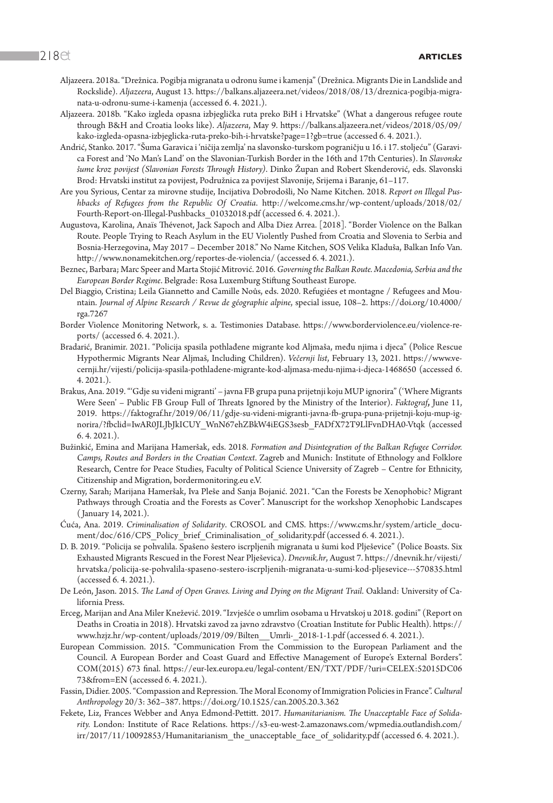- Aljazeera. 2018a. "Drežnica. Pogibja migranata u odronu šume i kamenja" (Drežnica. Migrants Die in Landslide and Rockslide). *Aljazeera*, August 13. [https://balkans.aljazeera.net/videos/2018/08/13/dreznica-pogibja-migra](https://balkans.aljazeera.net/videos/2018/08/13/dreznica-pogibja-migranata-u-odronu-sume-i-kamenja)[nata-u-odronu-sume-i-kamenja](https://balkans.aljazeera.net/videos/2018/08/13/dreznica-pogibja-migranata-u-odronu-sume-i-kamenja) (accessed 6. 4. 2021.).
- Aljazeera. 2018b. "Kako izgleda opasna izbjeglička ruta preko BiH i Hrvatske" (What a dangerous refugee route through B&H and Croatia looks like). *Aljazeera*, May 9. [https://balkans.aljazeera.net/videos/2018/05/09/](https://balkans.aljazeera.net/videos/2018/05/09/kako-izgleda-opasna-izbjeglicka-ruta-preko-bih-i-hrvatske?page=1?gb=true) [kako-izgleda-opasna-izbjeglicka-ruta-preko-bih-i-hrvatske?page=1?gb=true](https://balkans.aljazeera.net/videos/2018/05/09/kako-izgleda-opasna-izbjeglicka-ruta-preko-bih-i-hrvatske?page=1?gb=true) (accessed 6. 4. 2021.).
- Andrić, Stanko. 2017. "Šuma Garavica i 'ničija zemlja' na slavonsko-turskom pograničju u 16. i 17. stoljeću" (Garavica Forest and 'No Man's Land' on the Slavonian-Turkish Border in the 16th and 17th Centuries). In *Slavonske šume kroz povijest (Slavonian Forests Through History)*. Dinko Župan and Robert Skenderović, eds. Slavonski Brod: Hrvatski institut za povijest, Podružnica za povijest Slavonije, Srijema i Baranje, 61–117.
- Are you Syrious, Centar za mirovne studije, Incijativa Dobrodošli, No Name Kitchen. 2018. *Report on Illegal Pushbacks of Refugees from the Republic Of Croatia*. [http://welcome.cms.hr/wp-content/uploads/2018/02/](http://welcome.cms.hr/wp-content/uploads/2018/02/Fourth-Report-on-Illegal-Pushbacks_01032018.pdf) [Fourth-Report-on-Illegal-Pushbacks\\_01032018.pdf](http://welcome.cms.hr/wp-content/uploads/2018/02/Fourth-Report-on-Illegal-Pushbacks_01032018.pdf) (accessed 6. 4. 2021.).
- Augustova, Karolina, Anaïs Thévenot, Jack Sapoch and Alba Diez Arrea. [2018]. "Border Violence on the Balkan Route. People Trying to Reach Asylum in the EU Violently Pushed from Croatia and Slovenia to Serbia and Bosnia-Herzegovina, May 2017 – December 2018." No Name Kitchen, SOS Velika Kladuša, Balkan Info Van. <http://www.nonamekitchen.org/reportes-de-violencia/>(accessed 6. 4. 2021.).
- Beznec, Barbara; Marc Speer and Marta Stojić Mitrović. 2016. *Governing the Balkan Route. Macedonia, Serbia and the European Border Regime*. Belgrade: Rosa Luxemburg Stiftung Southeast Europe.
- Del Biaggio, Cristina; Leila Giannetto and Camille Noûs, eds. 2020. Refugiées et montagne / Refugees and Mountain. *Journal of Alpine Research / Revue de géographie alpine*, special issue, 108–2. https://doi.org/10.4000/ rga.7267
- Border Violence Monitoring Network, s. a. Testimonies Database. [https://www.borderviolence.eu/violence-re](https://www.borderviolence.eu/violence-reports/)[ports/](https://www.borderviolence.eu/violence-reports/) (accessed 6. 4. 2021.).
- Bradarić, Branimir. 2021. "Policija spasila pothlađene migrante kod Aljmaša, među njima i djeca" (Police Rescue Hypothermic Migrants Near Aljmaš, Including Children). *Večernji list*, February 13, 2021. [https://www.ve](https://www.vecernji.hr/vijesti/policija-spasila-pothladene-migrante-kod-aljmasa-medu-njima-i-djeca-1468650)[cernji.hr/vijesti/policija-spasila-pothladene-migrante-kod-aljmasa-medu-njima-i-djeca-1468650](https://www.vecernji.hr/vijesti/policija-spasila-pothladene-migrante-kod-aljmasa-medu-njima-i-djeca-1468650) (accessed 6. 4. 2021.).
- Brakus, Ana. 2019. "'Gdje su viđeni migranti' javna FB grupa puna prijetnji koju MUP ignorira" ('Where Migrants Were Seen' – Public FB Group Full of Threats Ignored by the Ministry of the Interior). *Faktograf***,** June 11, 2019. [https://faktograf.hr/2019/06/11/gdje-su-videni-migranti-javna-fb-grupa-puna-prijetnji-koju-mup-ig](https://faktograf.hr/2019/06/11/gdje-su-videni-migranti-javna-fb-grupa-puna-prijetnji-koju-mup-ignorira/?fbclid=IwAR0JLJbJkICUY_WnN67ehZBkW4iEGS3sesb_FADfX72T9LlFvnDHA0-Vtqk)[norira/?fbclid=IwAR0JLJbJkICUY\\_WnN67ehZBkW4iEGS3sesb\\_FADf X72T9LlFvnDHA0-Vtqk](https://faktograf.hr/2019/06/11/gdje-su-videni-migranti-javna-fb-grupa-puna-prijetnji-koju-mup-ignorira/?fbclid=IwAR0JLJbJkICUY_WnN67ehZBkW4iEGS3sesb_FADfX72T9LlFvnDHA0-Vtqk) (accessed 6. 4. 2021.).
- Bužinkić, Emina and Marijana Hameršak, eds. 2018. *Formation and Disintegration of the Balkan Refugee Corridor. Camps, Routes and Borders in the Croatian Context*. Zagreb and Munich: Institute of Ethnology and Folklore Research, Centre for Peace Studies, Faculty of Political Science University of Zagreb – Centre for Ethnicity, Citizenship and Migration, bordermonitoring.eu e.V.
- Czerny, Sarah; Marijana Hameršak, Iva Pleše and Sanja Bojanić. 2021. "Can the Forests be Xenophobic? Migrant Pathways through Croatia and the Forests as Cover". Manuscript for the workshop Xenophobic Landscapes ( January 14, 2021.).
- Ćuća, Ana. 2019. *Criminalisation of Solidarity*. CROSOL and CMS. [https://www.cms.hr/system/article\\_docu](https://www.cms.hr/system/article_document/doc/616/CPS_Policy_brief_Criminalisation_of_solidarity.pdf)[ment/doc/616/CPS\\_Policy\\_brief\\_Criminalisation\\_of\\_solidarity.pdf](https://www.cms.hr/system/article_document/doc/616/CPS_Policy_brief_Criminalisation_of_solidarity.pdf) (accessed 6.4. 2021.).
- D. B. 2019. "Policija se pohvalila. Spašeno šestero iscrpljenih migranata u šumi kod Plješevice" (Police Boasts. Six Exhausted Migrants Rescued in the Forest Near Plješevica). *Dnevnik.hr*, August 7. [https://dnevnik.hr/vijesti/](https://dnevnik.hr/vijesti/hrvatska/policija-se-pohvalila-spaseno-sestero-iscrpljenih-migranata-u-sumi-kod-pljesevice---570835.html) [hrvatska/policija-se-pohvalila-spaseno-sestero-iscrpljenih-migranata-u-sumi-kod-pljesevice---570835.html](https://dnevnik.hr/vijesti/hrvatska/policija-se-pohvalila-spaseno-sestero-iscrpljenih-migranata-u-sumi-kod-pljesevice---570835.html) (accessed 6. 4. 2021.).
- De León, Jason. 2015. *The Land of Open Graves. Living and Dying on the Migrant Trail*. Oakland: University of California Press.
- Erceg, Marijan and Ana Miler Knežević. 2019. "Izvješće o umrlim osobama u Hrvatskoj u 2018. godini" (Report on Deaths in Croatia in 2018). Hrvatski zavod za javno zdravstvo (Croatian Institute for Public Health). [https://](https://www.hzjz.hr/wp-content/uploads/2019/09/Bilten__Umrli-_2018-1-1.pdf) [www.hzjz.hr/wp-content/uploads/2019/09/Bilten\\_\\_Umrli-\\_2018-1-1.pdf](https://www.hzjz.hr/wp-content/uploads/2019/09/Bilten__Umrli-_2018-1-1.pdf) (accessed 6. 4. 2021.).
- European Commission. 2015. "Communication From the Commission to the European Parliament and the Council. A European Border and Coast Guard and Effective Management of Europe's External Borders". COM(2015) 673 final. [https://eur-lex.europa.eu/legal-content/EN/TXT/PDF/?uri=CELEX:52015DC06](https://eur-lex.europa.eu/legal-content/EN/TXT/PDF/?uri=CELEX:52015DC0673&from=EN) [73&from=EN](https://eur-lex.europa.eu/legal-content/EN/TXT/PDF/?uri=CELEX:52015DC0673&from=EN) (accessed 6. 4. 2021.).
- Fassin, Didier. 2005. "Compassion and Repression. The Moral Economy of Immigration Policies in France". *Cultural Anthropology* 20/3: 362–387. https://doi.org/10.1525/can.2005.20.3.362
- Fekete, Liz, Frances Webber and Anya Edmond-Pettitt. 2017. *Humanitarianism. The Unacceptable Face of Solidarity.* London: Institute of Race Relations. [https://s3-eu-west-2.amazonaws.com/wpmedia.outlandish.com/](https://s3-eu-west-2.amazonaws.com/wpmedia.outlandish.com/irr/2017/11/10092853/Humanitarianism_the_unacceptable_face_of_solidarity.pdf) [irr/2017/11/10092853/Humanitarianism\\_the\\_unacceptable\\_face\\_of\\_solidarity.pdf](https://s3-eu-west-2.amazonaws.com/wpmedia.outlandish.com/irr/2017/11/10092853/Humanitarianism_the_unacceptable_face_of_solidarity.pdf) (accessed 6. 4. 2021.).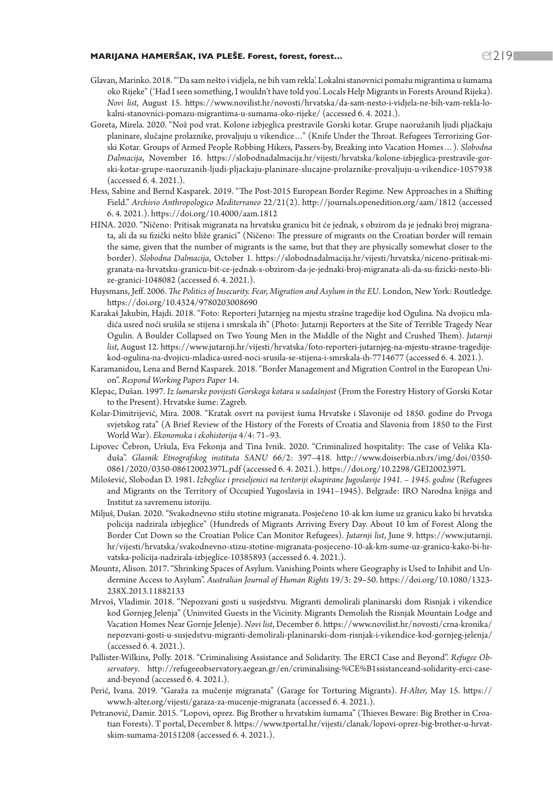### MARIJANA HAMERŠAK, IVA PLEŠE. Forest, forest, forest…  $\bigcirc$  219  $\bigcirc$  219  $\bigcirc$

- Glavan, Marinko. 2018. "'Da sam nešto i vidjela, ne bih vam rekla'. Lokalni stanovnici pomažu migrantima u šumama oko Rijeke" ('Had I seen something, I wouldn't have told you'. Locals Help Migrants in Forests Around Rijeka). *Novi list*, August 15. [https://www.novilist.hr/novosti/hrvatska/da-sam-nesto-i-vidjela-ne-bih-vam-rekla-lo](https://www.novilist.hr/novosti/hrvatska/da-sam-nesto-i-vidjela-ne-bih-vam-rekla-lokalni-stanovnici-pomazu-migrantima-u-sumama-oko-rijeke/)[kalni-stanovnici-pomazu-migrantima-u-sumama-oko-rijeke/](https://www.novilist.hr/novosti/hrvatska/da-sam-nesto-i-vidjela-ne-bih-vam-rekla-lokalni-stanovnici-pomazu-migrantima-u-sumama-oko-rijeke/) (accessed 6. 4. 2021.).
- Goreta, Mirela. 2020. "Nož pod vrat. Kolone izbjeglica prestravile Gorski kotar. Grupe naoružanih ljudi pljačkaju planinare, slučajne prolaznike, provaljuju u vikendice…" (Knife Under the Throat. Refugees Terrorizing Gorski Kotar. Groups of Armed People Robbing Hikers, Passers-by, Breaking into Vacation Homes…). *Slobodna Dalmacija*, November 16. [https://slobodnadalmacija.hr/vijesti/hrvatska/kolone-izbjeglica-prestravile-gor](https://slobodnadalmacija.hr/vijesti/hrvatska/kolone-izbjeglica-prestravile-gorski-kotar-grupe-naoruzanih-ljudi-pljackaju-planinare-slucajne-prolaznike-provaljuju-u-vikendice-1057938)[ski-kotar-grupe-naoruzanih-ljudi-pljackaju-planinare-slucajne-prolaznike-provaljuju-u-vikendice-1057938](https://slobodnadalmacija.hr/vijesti/hrvatska/kolone-izbjeglica-prestravile-gorski-kotar-grupe-naoruzanih-ljudi-pljackaju-planinare-slucajne-prolaznike-provaljuju-u-vikendice-1057938) (accessed 6. 4. 2021.).
- Hess, Sabine and Bernd Kasparek. 2019. "The Post-2015 European Border Regime. New Approaches in a Shifting Field." *Archivio Anthropologico Mediterraneo* 22/21(2). <http://journals.openedition.org/aam/1812> (accessed 6. 4. 2021.). https://doi.org/10.4000/aam.1812
- HINA. 2020. "Ničeno: Pritisak migranata na hrvatsku granicu bit će jednak, s obzirom da je jednaki broj migranata, ali da su fizički nešto bliže granici" (Ničeno: The pressure of migrants on the Croatian border will remain the same, given that the number of migrants is the same, but that they are physically somewhat closer to the border). *Slobodna Dalmacija*, October 1. [https://slobodnadalmacija.hr/vijesti/hrvatska/niceno-pritisak-mi](https://slobodnadalmacija.hr/vijesti/hrvatska/niceno-pritisak-migranata-na-hrvatsku-granicu-bit-ce-jednak-s-obzirom-da-je-jednaki-broj-migranata-ali-da-su-fizicki-nesto-blize-granici-1048082)[granata-na-hrvatsku-granicu-bit-ce-jednak-s-obzirom-da-je-jednaki-broj-migranata-ali-da-su-fizicki-nesto-bli](https://slobodnadalmacija.hr/vijesti/hrvatska/niceno-pritisak-migranata-na-hrvatsku-granicu-bit-ce-jednak-s-obzirom-da-je-jednaki-broj-migranata-ali-da-su-fizicki-nesto-blize-granici-1048082)[ze-granici-1048082](https://slobodnadalmacija.hr/vijesti/hrvatska/niceno-pritisak-migranata-na-hrvatsku-granicu-bit-ce-jednak-s-obzirom-da-je-jednaki-broj-migranata-ali-da-su-fizicki-nesto-blize-granici-1048082) (accessed 6. 4. 2021.).
- Huysmans, Jeff. 2006. *The Politics of Insecurity. Fear, Migration and Asylum in the EU*. London, New York: Routledge. https://doi.org/10.4324/9780203008690
- Karakaš Jakubin, Hajdi. 2018. "Foto: Reporteri Jutarnjeg na mjestu strašne tragedije kod Ogulina. Na dvojicu mladića usred noći srušila se stijena i smrskala ih" (Photo: Jutarnji Reporters at the Site of Terrible Tragedy Near Ogulin. A Boulder Collapsed on Two Young Men in the Middle of the Night and Crushed Them). *Jutarnji list*, August 12. [https://www.jutarnji.hr/vijesti/hrvatska/foto-reporteri-jutarnjeg-na-mjestu-strasne-tragedije](https://www.jutarnji.hr/vijesti/hrvatska/foto-reporteri-jutarnjeg-na-mjestu-strasne-tragedije-kod-ogulina-na-dvojicu-mladica-usred-noci-srusila-se-stijena-i-smrskala-ih-7714677)[kod-ogulina-na-dvojicu-mladica-usred-noci-srusila-se-stijena-i-smrskala-ih-7714677](https://www.jutarnji.hr/vijesti/hrvatska/foto-reporteri-jutarnjeg-na-mjestu-strasne-tragedije-kod-ogulina-na-dvojicu-mladica-usred-noci-srusila-se-stijena-i-smrskala-ih-7714677) (accessed 6. 4. 2021.).
- Karamanidou, Lena and Bernd Kasparek. 2018. "Border Management and Migration Control in the European Union". *Respond Working Papers Paper* 14.
- Klepac, Dušan. 1997. *Iz šumarske povijesti Gorskoga kotara u sadašnjost* (From the Forestry History of Gorski Kotar to the Present). Hrvatske šume: Zagreb.
- Kolar-Dimitrijević, Mira. 2008. "Kratak osvrt na povijest šuma Hrvatske i Slavonije od 1850. godine do Prvoga svjetskog rata" (A Brief Review of the History of the Forests of Croatia and Slavonia from 1850 to the First World War). *Ekonomska i ekohistorija* 4/4: 71–93.
- Lipovec Čebron, Uršula, Eva Fekonja and Tina Ivnik. 2020. "Criminalized hospitality: The case of Velika Kladuša". *Glasnik Etnografskog instituta SANU* 66/2: 397–418. [http://www.doiserbia.nb.rs/img/doi/0350-](http://www.doiserbia.nb.rs/img/doi/0350-0861/2020/0350-08612002397L.pdf) [0861/2020/0350-08612002397L.pdf](http://www.doiserbia.nb.rs/img/doi/0350-0861/2020/0350-08612002397L.pdf) (accessed 6. 4. 2021.). https://doi.org/10.2298/GEI2002397L
- Milošević, Slobodan D. 1981. *Izbeglice i preseljenici na teritoriji okupirane Jugoslavije 1941. 1945. godine* (Refugees and Migrants on the Territory of Occupied Yugoslavia in 1941–1945). Belgrade: IRO Narodna knjiga and Institut za savremenu istoriju.
- Miljuš, Dušan. 2020. "Svakodnevno stižu stotine migranata. Posječeno 10-ak km šume uz granicu kako bi hrvatska policija nadzirala izbjeglice" (Hundreds of Migrants Arriving Every Day. About 10 km of Forest Along the Border Cut Down so the Croatian Police Can Monitor Refugees). *Jutarnji list*, June 9. [https://www.jutarnji.](https://www.jutarnji.hr/vijesti/hrvatska/svakodnevno-stizu-stotine-migranata-posjeceno-10-ak-km-sume-uz-granicu-kako-bi-hrvatska-policija-nadzirala-izbjeglice-10385893) [hr/vijesti/hrvatska/svakodnevno-stizu-stotine-migranata-posjeceno-10-ak-km-sume-uz-granicu-kako-bi-hr](https://www.jutarnji.hr/vijesti/hrvatska/svakodnevno-stizu-stotine-migranata-posjeceno-10-ak-km-sume-uz-granicu-kako-bi-hrvatska-policija-nadzirala-izbjeglice-10385893)[vatska-policija-nadzirala-izbjeglice-10385893](https://www.jutarnji.hr/vijesti/hrvatska/svakodnevno-stizu-stotine-migranata-posjeceno-10-ak-km-sume-uz-granicu-kako-bi-hrvatska-policija-nadzirala-izbjeglice-10385893) (accessed 6. 4. 2021.).
- Mountz, Alison. 2017. "Shrinking Spaces of Asylum. Vanishing Points where Geography is Used to Inhibit and Undermine Access to Asylum". *Australian Journal of Human Rights* 19/3: 29–50. https://doi.org/10.1080/1323- 238X.2013.11882133
- Mrvoš, Vladimir. 2018. "Nepozvani gosti u susjedstvu. Migranti demolirali planinarski dom Risnjak i vikendice kod Gornjeg Jelenja" (Uninvited Guests in the Vicinity. Migrants Demolish the Risnjak Mountain Lodge and Vacation Homes Near Gornje Jelenje). *Novi list*, December 6. [https://www.novilist.hr/novosti/crna-kronika/](https://www.novilist.hr/novosti/crna-kronika/nepozvani-gosti-u-susjedstvu-migranti-demolirali-planinarski-dom-risnjak-i-vikendice-kod-gornjeg-jelenja/) [nepozvani-gosti-u-susjedstvu-migranti-demolirali-planinarski-dom-risnjak-i-vikendice-kod-gornjeg-jelenja/](https://www.novilist.hr/novosti/crna-kronika/nepozvani-gosti-u-susjedstvu-migranti-demolirali-planinarski-dom-risnjak-i-vikendice-kod-gornjeg-jelenja/) (accessed 6. 4. 2021.).
- Pallister-Wilkins, Polly. 2018. "Criminalising Assistance and Solidarity. The ERCI Case and Beyond". *Refugee Observatory*. http://refugeeobservatory.aegean.gr/en/criminalising-%CE%B1ssistanceand-solidarity-erci-caseand-beyond (accessed 6. 4. 2021.).
- Perić, Ivana. 2019. "Garaža za mučenje migranata" (Garage for Torturing Migrants). *H-Alter,* May 15. [https://](https://www.h-alter.org/vijesti/garaza-za-mucenje-migranata) [www.h-alter.org/vijesti/garaza-za-mucenje-migranata](https://www.h-alter.org/vijesti/garaza-za-mucenje-migranata) (accessed 6. 4. 2021.).
- Petranović, Damir. 2015. "Lopovi, oprez. Big Brother u hrvatskim šumama" (Thieves Beware: Big Brother in Croatian Forests). T portal, December 8. [https://www.tportal.hr/vijesti/clanak/lopovi-oprez-big-brother-u-hrvat](https://www.tportal.hr/vijesti/clanak/lopovi-oprez-big-brother-u-hrvatskim-sumama-20151208)[skim-sumama-20151208](https://www.tportal.hr/vijesti/clanak/lopovi-oprez-big-brother-u-hrvatskim-sumama-20151208) (accessed 6. 4. 2021.).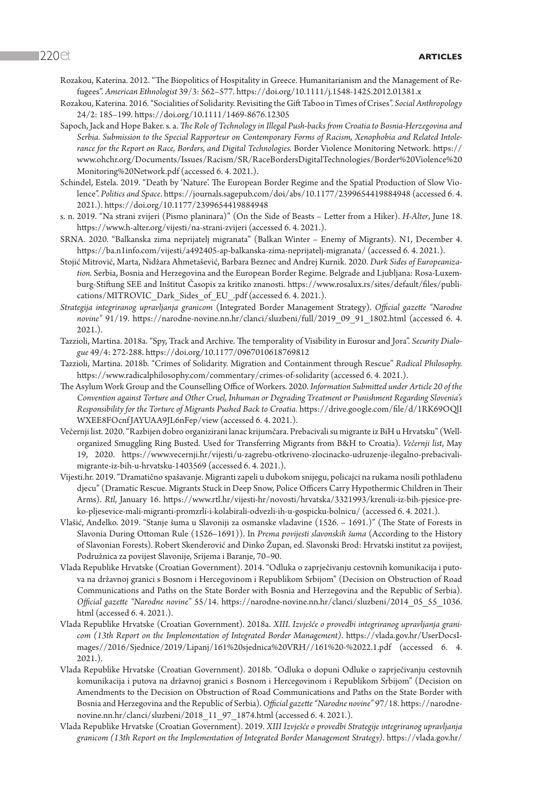- Rozakou, Katerina. 2012. "The Biopolitics of Hospitality in Greece. Humanitarianism and the Management of Refugees". *American Ethnologist* 39/3: 562–577. https://doi.org/10.1111/j.1548-1425.2012.01381.x
- Rozakou, Katerina. 2016. "Socialities of Solidarity. Revisiting the Gift Taboo in Times of Crises". *Social Anthropology*  24/2: 185–199. https://doi.org/10.1111/1469-8676.12305
- Sapoch, Jack and Hope Baker. s. a. *The Role of Technology in Illegal Push-backs from Croatia to Bosnia-Herzegovina and Serbia. Submission to the Special Rapporteur on Contemporary Forms of Racism, Xenophobia and Related Intolerance for the Report on Race, Borders, and Digital Technologies.* Border Violence Monitoring Network. [https://](https://www.ohchr.org/Documents/Issues/Racism/SR/RaceBordersDigitalTechnologies/Border%20Violence%20Monitoring%20Network.pdf) [www.ohchr.org/Documents/Issues/Racism/SR/RaceBordersDigitalTechnologies/Border%20Violence%20](https://www.ohchr.org/Documents/Issues/Racism/SR/RaceBordersDigitalTechnologies/Border%20Violence%20Monitoring%20Network.pdf) [Monitoring%20Network.pdf](https://www.ohchr.org/Documents/Issues/Racism/SR/RaceBordersDigitalTechnologies/Border%20Violence%20Monitoring%20Network.pdf) (accessed 6. 4. 2021.).
- Schindel, Estela. 2019. "Death by 'Nature'. The European Border Regime and the Spatial Production of Slow Violence". *Politics and Space*. <https://journals.sagepub.com/doi/abs/10.1177/2399654419884948> (accessed 6. 4. 2021.). https://doi.org/10.1177/2399654419884948
- s. n. 2019. "Na strani zvijeri (Pismo planinara)" (On the Side of Beasts Letter from a Hiker). *H-Alter*, June 18. <https://www.h-alter.org/vijesti/na-strani-zvijeri> (accessed 6. 4. 2021.).
- SRNA. 2020. "Balkanska zima neprijatelj migranata" (Balkan Winter Enemy of Migrants). N1, December 4. <https://ba.n1info.com/vijesti/a492405-ap-balkanska-zima-neprijatelj-migranata/>(accessed 6. 4. 2021.).
- Stojić Mitrović, Marta, Nidžara Ahmetašević, Barbara Beznec and Andrej Kurnik. 2020. *Dark Sides of Europeanization.* Serbia, Bosnia and Herzegovina and the European Border Regime. Belgrade and Ljubljana: Rosa-Luxemburg-Stiftung SEE and Inštitut Časopis za kritiko znanosti. [https://www.rosalux.rs/sites/default/files/publi](https://www.rosalux.rs/sites/default/files/publications/MITROVIC_Dark_Sides_of_EU_.pdf)[cations/MITROVIC\\_Dark\\_Sides\\_of\\_EU\\_.pdf](https://www.rosalux.rs/sites/default/files/publications/MITROVIC_Dark_Sides_of_EU_.pdf) (accessed 6. 4. 2021.).
- *Strategija integriranog upravljanja granicom* (Integrated Border Management Strategy). *Official gazette "Narodne novine"* 91/19. [https://narodne-novine.nn.hr/clanci/sluzbeni/full/2019\\_09\\_91\\_1802.html](https://narodne-novine.nn.hr/clanci/sluzbeni/full/2019_09_91_1802.html) (accessed 6. 4. 2021.).
- Tazzioli, Martina. 2018a. "Spy, Track and Archive. The temporality of Visibility in Eurosur and Jora". *Security Dialogue* 49/4: 272-288. https://doi.org/10.1177/0967010618769812
- Tazzioli, Martina. 2018b. "Crimes of Solidarity. Migration and Containment through Rescue" *Radical Philosophy.* <https://www.radicalphilosophy.com/commentary/crimes-of-solidarity> (accessed 6. 4. 2021.).
- The Asylum Work Group and the Counselling Office of Workers. 2020. *Information Submitted under Article 20 of the Convention against Torture and Other Cruel, Inhuman or Degrading Treatment or Punishment Regarding Slovenia's Responsibility for the Torture of Migrants Pushed Back to Croatia*. [https://drive.google.com/file/d/1RK69OQlI](https://drive.google.com/file/d/1RK69OQlIWXEE8FOcnfJAYUAA9JL6nFep/view) [WXEE8FOcnf JAYUAA9JL6nFep/view](https://drive.google.com/file/d/1RK69OQlIWXEE8FOcnfJAYUAA9JL6nFep/view) (accessed 6. 4. 2021.).
- Večernji list. 2020. "Razbijen dobro organizirani lanac krijumčara. Prebacivali su migrante iz BiH u Hrvatsku" (Wellorganized Smuggling Ring Busted. Used for Transferring Migrants from B&H to Croatia). *Večernji list*, May 19, 2020. [https://www.vecernji.hr/vijesti/u-zagrebu-otkriveno-zlocinacko-udruzenje-ilegalno-prebacivali](https://www.vecernji.hr/vijesti/u-zagrebu-otkriveno-zlocinacko-udruzenje-ilegalno-prebacivali-migrante-iz-bih-u-hrvatsku-1403569)[migrante-iz-bih-u-hrvatsku-1403569](https://www.vecernji.hr/vijesti/u-zagrebu-otkriveno-zlocinacko-udruzenje-ilegalno-prebacivali-migrante-iz-bih-u-hrvatsku-1403569) (accessed 6. 4. 2021.).
- Vijesti.hr. 2019. "Dramatično spašavanje. Migranti zapeli u dubokom snijegu, policajci na rukama nosili pothlađenu djecu" (Dramatic Rescue. Migrants Stuck in Deep Snow, Police Officers Carry Hypothermic Children in Their Arms). *Rtl*, January 16. [https://www.rtl.hr/vijesti-hr/novosti/hrvatska/3321993/krenuli-iz-bih-pjesice-pre](https://www.rtl.hr/vijesti-hr/novosti/hrvatska/3321993/krenuli-iz-bih-pjesice-preko-pljesevice-mali-migranti-promzrli-i-kolabirali-odvezli-ih-u-gospicku-bolnicu/)[ko-pljesevice-mali-migranti-promzrli-i-kolabirali-odvezli-ih-u-gospicku-bolnicu/](https://www.rtl.hr/vijesti-hr/novosti/hrvatska/3321993/krenuli-iz-bih-pjesice-preko-pljesevice-mali-migranti-promzrli-i-kolabirali-odvezli-ih-u-gospicku-bolnicu/) (accessed 6. 4. 2021.).
- Vlašić, Anđelko. 2019. "Stanje šuma u Slavoniji za osmanske vladavine (1526. 1691.)" (The State of Forests in Slavonia During Ottoman Rule (1526–1691)). In *Prema povijesti slavonskih šuma* (According to the History of Slavonian Forests)*.* Robert Skenderović and Dinko Župan, ed. Slavonski Brod: Hrvatski institut za povijest, Podružnica za povijest Slavonije, Srijema i Baranje, 70–90.
- Vlada Republike Hrvatske (Croatian Government). 2014. "Odluka o zaprječivanju cestovnih komunikacija i putova na državnoj granici s Bosnom i Hercegovinom i Republikom Srbijom" (Decision on Obstruction of Road Communications and Paths on the State Border with Bosnia and Herzegovina and the Republic of Serbia). *Official gazette "Narodne novine"* 55/14. [https://narodne-novine.nn.hr/clanci/sluzbeni/2014\\_05\\_55\\_1036.](https://narodne-novine.nn.hr/clanci/sluzbeni/2014_05_55_1036.html) [html](https://narodne-novine.nn.hr/clanci/sluzbeni/2014_05_55_1036.html) (accessed 6. 4. 2021.).
- Vlada Republike Hrvatske (Croatian Government). 2018a. *XIII. Izvješće o provedbi integriranog upravljanja granicom (13th Report on the Implementation of Integrated Border Management)*. [https://vlada.gov.hr/UserDocsI](https://vlada.gov.hr/UserDocsImages//2016/Sjednice/2019/Lipanj/161%20sjednica%20VRH//161%20-%2022.1.pdf)[mages//2016/Sjednice/2019/Lipanj/161%20sjednica%20VRH//161%20-%2022.1.pdf](https://vlada.gov.hr/UserDocsImages//2016/Sjednice/2019/Lipanj/161%20sjednica%20VRH//161%20-%2022.1.pdf) (accessed 6. 4. 2021.).
- Vlada Republike Hrvatske (Croatian Government). 2018b. "Odluka o dopuni Odluke o zaprječivanju cestovnih komunikacija i putova na državnoj granici s Bosnom i Hercegovinom i Republikom Srbijom" (Decision on Amendments to the Decision on Obstruction of Road Communications and Paths on the State Border with Bosnia and Herzegovina and the Republic of Serbia). *Official gazette "Narodne novine"* 97/18. [https://narodne](https://narodne-novine.nn.hr/clanci/sluzbeni/2018_11_97_1874.html)[novine.nn.hr/clanci/sluzbeni/2018\\_11\\_97\\_1874.html](https://narodne-novine.nn.hr/clanci/sluzbeni/2018_11_97_1874.html) (accessed 6. 4. 2021.).
- Vlada Republike Hrvatske (Croatian Government). 2019. *XIII Izvješće o provedbi Strategije integriranog upravljanja granicom (13th Report on the Implementation of Integrated Border Management Strategy)*. [https://vlada.gov.hr/](https://vlada.gov.hr/UserDocsImages//2016/Sjednice/2019/Lipanj/161%20sjednica%20VRH//161%20-%2022.1.pdf)